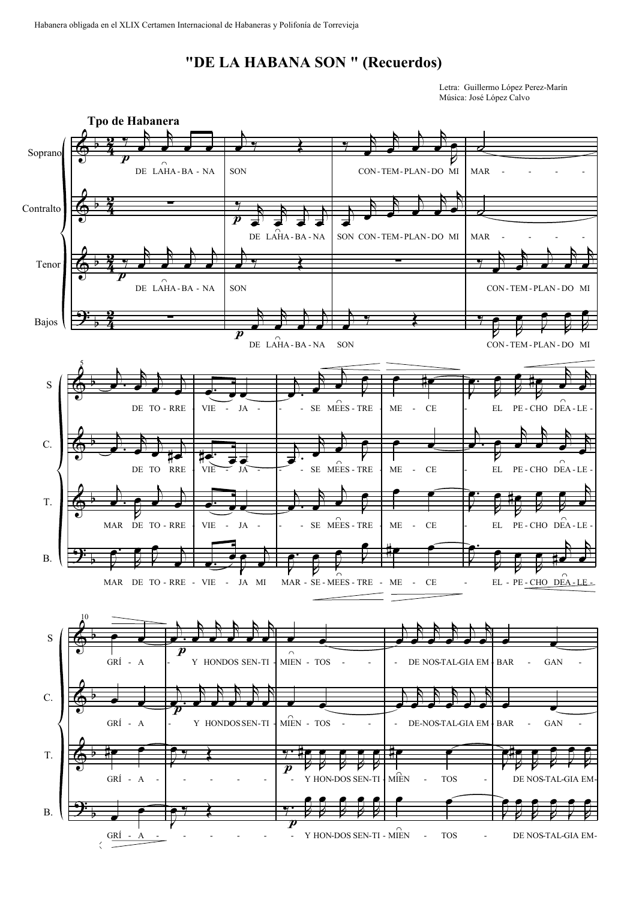## **"DE LA HABANA SON " (Recuerdos)**

Letra: Guillermo López Perez-Marín Música: José López Calvo

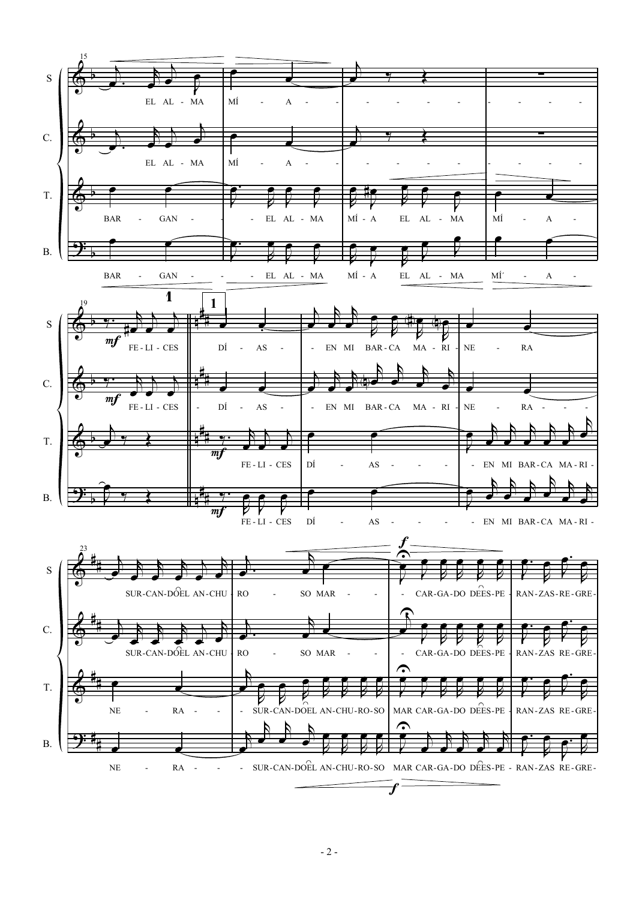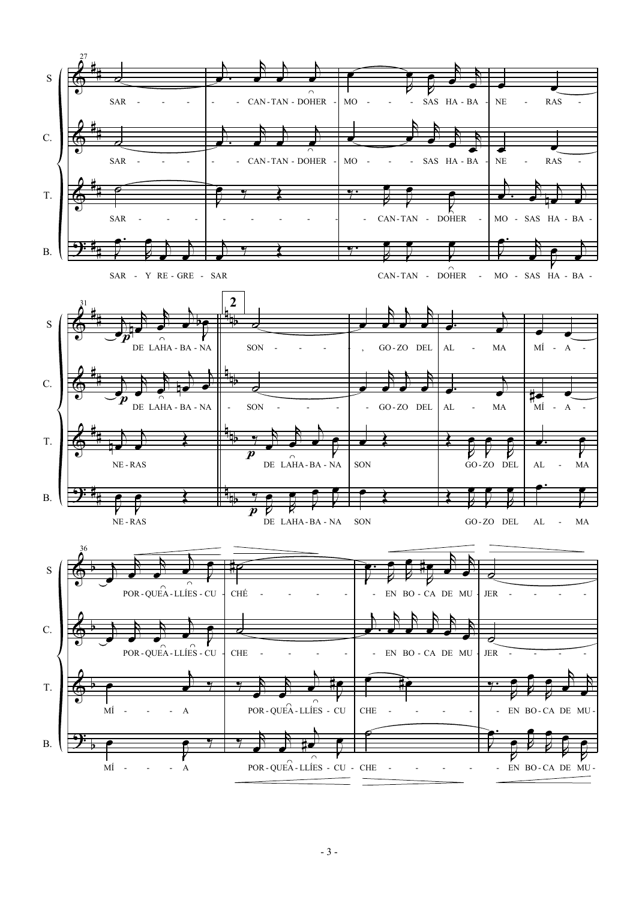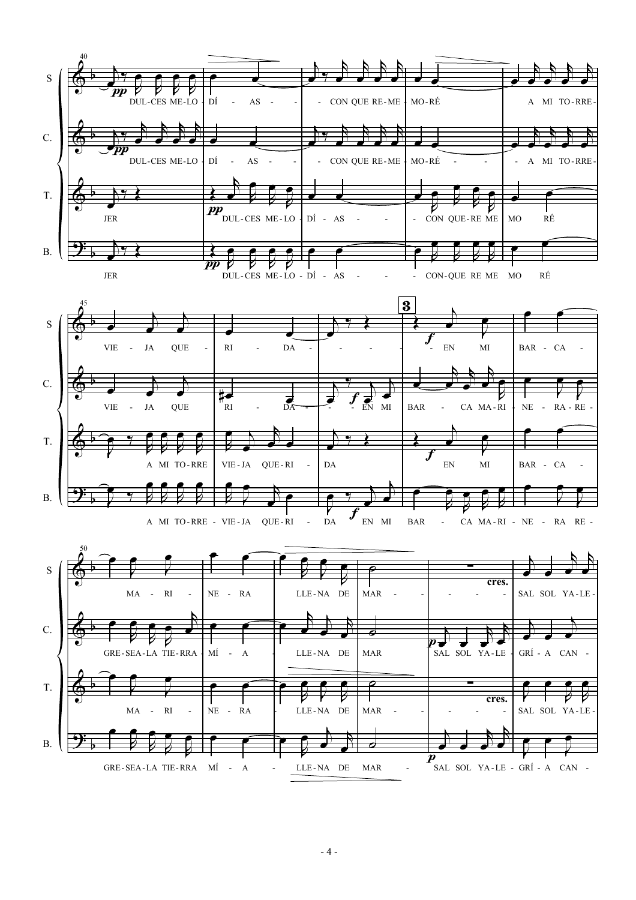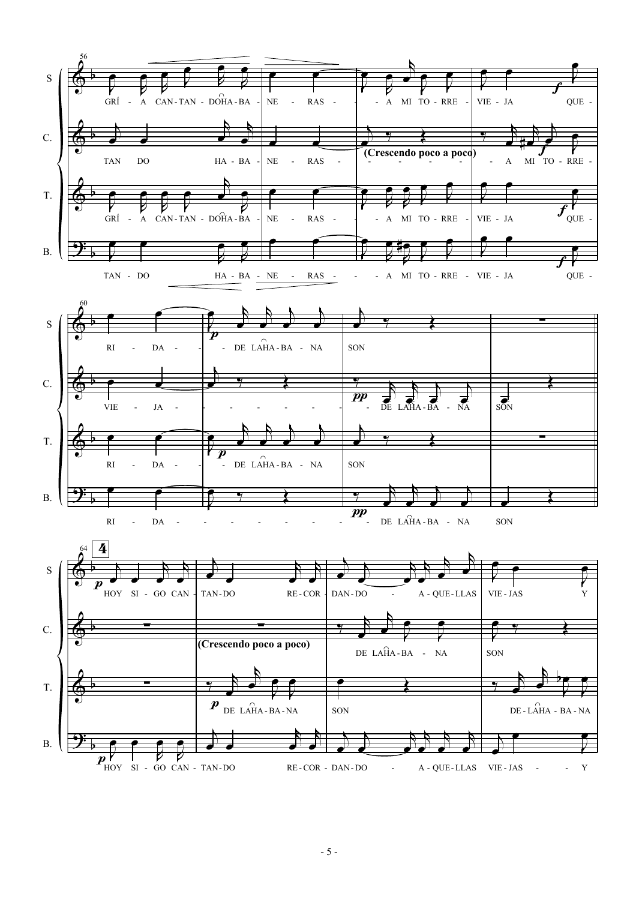